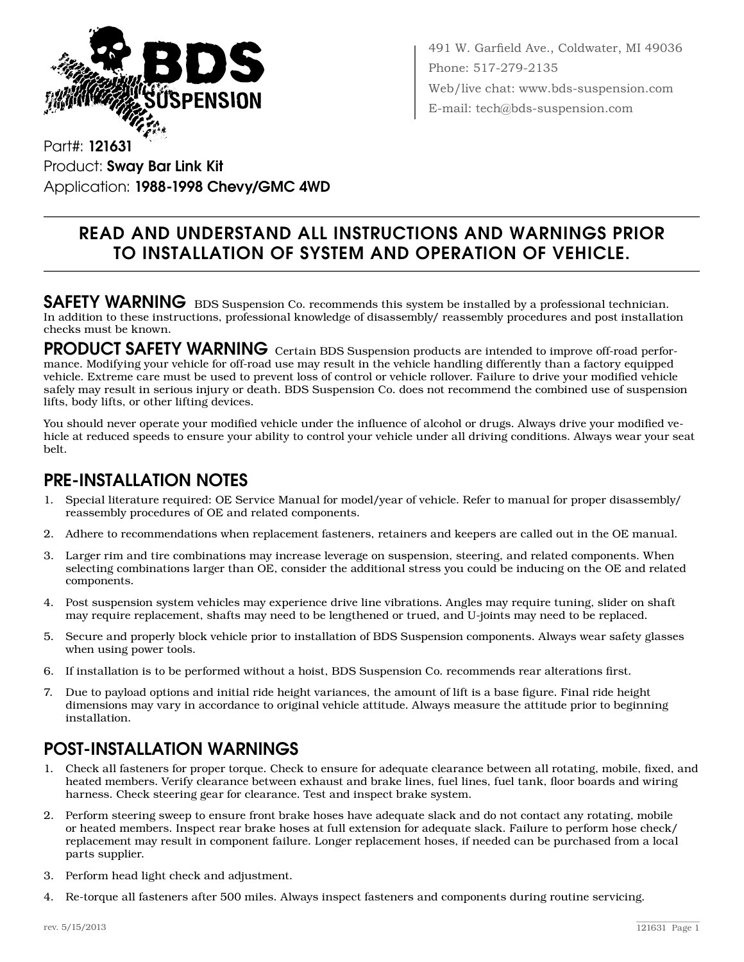

491 W. Garfield Ave., Coldwater, MI 49036 Phone: 517-279-2135 Web/live chat: www.bds-suspension.com E-mail: tech@bds-suspension.com

Part#: 121631 Product: Sway Bar Link Kit Application: 1988-1998 Chevy/GMC 4WD

## Read and understand all instructions and warnings prior to installation of system and operation of vehicle.

SAFETY WARNING BDS Suspension Co. recommends this system be installed by a professional technician. In addition to these instructions, professional knowledge of disassembly/ reassembly procedures and post installation checks must be known.

PRODUCT SAFETY WARNING Certain BDS Suspension products are intended to improve off-road performance. Modifying your vehicle for off-road use may result in the vehicle handling differently than a factory equipped vehicle. Extreme care must be used to prevent loss of control or vehicle rollover. Failure to drive your modified vehicle safely may result in serious injury or death. BDS Suspension Co. does not recommend the combined use of suspension lifts, body lifts, or other lifting devices.

You should never operate your modified vehicle under the influence of alcohol or drugs. Always drive your modified vehicle at reduced speeds to ensure your ability to control your vehicle under all driving conditions. Always wear your seat belt.

## Pre-Installation Notes

- 1. Special literature required: OE Service Manual for model/year of vehicle. Refer to manual for proper disassembly/ reassembly procedures of OE and related components.
- 2. Adhere to recommendations when replacement fasteners, retainers and keepers are called out in the OE manual.
- 3. Larger rim and tire combinations may increase leverage on suspension, steering, and related components. When selecting combinations larger than OE, consider the additional stress you could be inducing on the OE and related components.
- 4. Post suspension system vehicles may experience drive line vibrations. Angles may require tuning, slider on shaft may require replacement, shafts may need to be lengthened or trued, and U-joints may need to be replaced.
- 5. Secure and properly block vehicle prior to installation of BDS Suspension components. Always wear safety glasses when using power tools.
- 6. If installation is to be performed without a hoist, BDS Suspension Co. recommends rear alterations first.
- 7. Due to payload options and initial ride height variances, the amount of lift is a base figure. Final ride height dimensions may vary in accordance to original vehicle attitude. Always measure the attitude prior to beginning installation.

## POST-INSTALLATION WARNINGS

- 1. Check all fasteners for proper torque. Check to ensure for adequate clearance between all rotating, mobile, fixed, and heated members. Verify clearance between exhaust and brake lines, fuel lines, fuel tank, floor boards and wiring harness. Check steering gear for clearance. Test and inspect brake system.
- 2. Perform steering sweep to ensure front brake hoses have adequate slack and do not contact any rotating, mobile or heated members. Inspect rear brake hoses at full extension for adequate slack. Failure to perform hose check/ replacement may result in component failure. Longer replacement hoses, if needed can be purchased from a local parts supplier.
- 3. Perform head light check and adjustment.
- 4. Re-torque all fasteners after 500 miles. Always inspect fasteners and components during routine servicing.